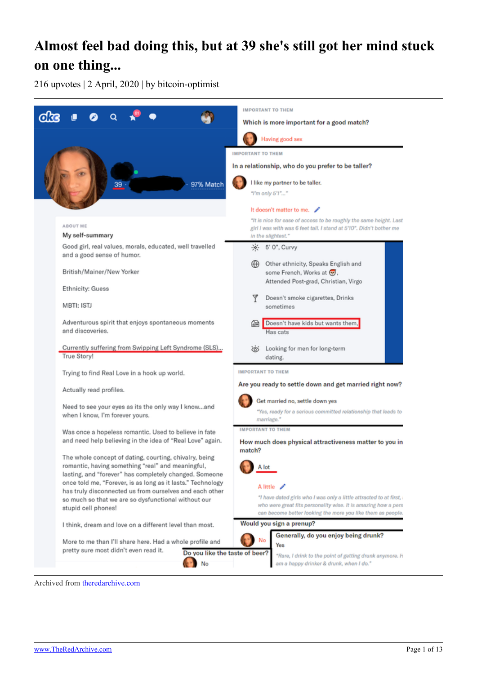# **Almost feel bad doing this, but at 39 she's still got her mind stuck on one thing...**

216 upvotes | 2 April, 2020 | by bitcoin-optimist



Archived from [theredarchive.com](https://theredarchive.com/r/WhereAreAllTheGoodMen/almost-feel-bad-doing-this-but-at-39-shes-still.358684)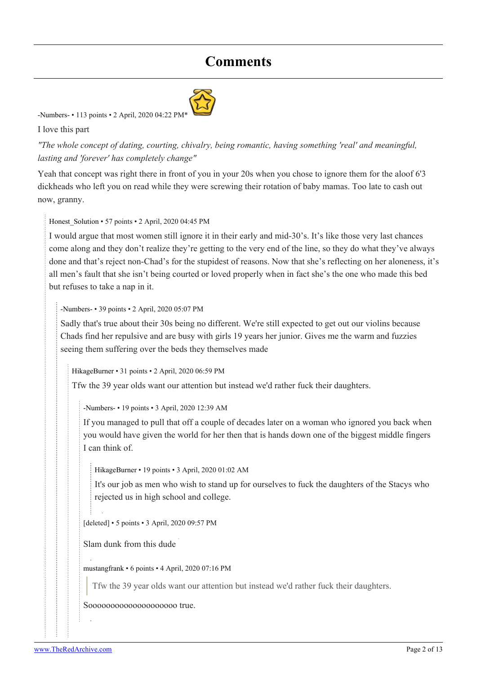# **Comments**



#### [-Numbers-](https://old.reddit.com/user/-Numbers-) • 113 points • 2 April, 2020 04:22 PI

I love this part

*"The whole concept of dating, courting, chivalry, being romantic, having something 'real' and meaningful, lasting and 'forever' has completely change"*

Yeah that concept was right there in front of you in your 20s when you chose to ignore them for the aloof 6'3 dickheads who left you on read while they were screwing their rotation of baby mamas. Too late to cash out now, granny.

Honest Solution • 57 points • 2 April, 2020 04:45 PM

I would argue that most women still ignore it in their early and mid-30's. It's like those very last chances come along and they don't realize they're getting to the very end of the line, so they do what they've always done and that's reject non-Chad's for the stupidest of reasons. Now that she's reflecting on her aloneness, it's all men's fault that she isn't being courted or loved properly when in fact she's the one who made this bed but refuses to take a nap in it.

[-Numbers-](https://old.reddit.com/user/-Numbers-) • 39 points • 2 April, 2020 05:07 PM

Sadly that's true about their 30s being no different. We're still expected to get out our violins because Chads find her repulsive and are busy with girls 19 years her junior. Gives me the warm and fuzzies seeing them suffering over the beds they themselves made

[HikageBurner](https://old.reddit.com/user/HikageBurner) • 31 points • 2 April, 2020 06:59 PM

Tfw the 39 year olds want our attention but instead we'd rather fuck their daughters.

[-Numbers-](https://old.reddit.com/user/-Numbers-) • 19 points • 3 April, 2020 12:39 AM

If you managed to pull that off a couple of decades later on a woman who ignored you back when you would have given the world for her then that is hands down one of the biggest middle fingers I can think of.

[HikageBurner](https://old.reddit.com/user/HikageBurner) • 19 points • 3 April, 2020 01:02 AM

It's our job as men who wish to stand up for ourselves to fuck the daughters of the Stacys who rejected us in high school and college.

[deleted] • 5 points • 3 April, 2020 09:57 PM

Slam dunk from this dude

[mustangfrank](https://old.reddit.com/user/mustangfrank) • 6 points • 4 April, 2020 07:16 PM

Tfw the 39 year olds want our attention but instead we'd rather fuck their daughters.

Soooooooooooooooooooo true.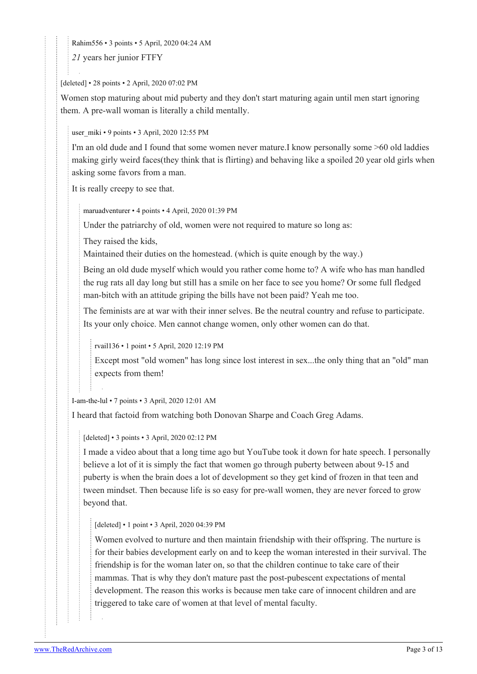[Rahim556](https://old.reddit.com/user/Rahim556) • 3 points • 5 April, 2020 04:24 AM

*21* years her junior FTFY

[deleted] • 28 points • 2 April, 2020 07:02 PM

Women stop maturing about mid puberty and they don't start maturing again until men start ignoring them. A pre-wall woman is literally a child mentally.

[user\\_miki](https://old.reddit.com/user/user_miki) • 9 points • 3 April, 2020 12:55 PM

I'm an old dude and I found that some women never mature.I know personally some >60 old laddies making girly weird faces(they think that is flirting) and behaving like a spoiled 20 year old girls when asking some favors from a man.

It is really creepy to see that.

[maruadventurer](https://old.reddit.com/user/maruadventurer) • 4 points • 4 April, 2020 01:39 PM

Under the patriarchy of old, women were not required to mature so long as:

They raised the kids,

Maintained their duties on the homestead. (which is quite enough by the way.)

Being an old dude myself which would you rather come home to? A wife who has man handled the rug rats all day long but still has a smile on her face to see you home? Or some full fledged man-bitch with an attitude griping the bills have not been paid? Yeah me too.

The feminists are at war with their inner selves. Be the neutral country and refuse to participate. Its your only choice. Men cannot change women, only other women can do that.

[rvail136](https://old.reddit.com/user/rvail136) • 1 point • 5 April, 2020 12:19 PM

Except most "old women" has long since lost interest in sex...the only thing that an "old" man expects from them!

[I-am-the-lul](https://old.reddit.com/user/I-am-the-lul) • 7 points • 3 April, 2020 12:01 AM

I heard that factoid from watching both Donovan Sharpe and Coach Greg Adams.

[deleted] • 3 points • 3 April, 2020 02:12 PM

I made a video about that a long time ago but YouTube took it down for hate speech. I personally believe a lot of it is simply the fact that women go through puberty between about 9-15 and puberty is when the brain does a lot of development so they get kind of frozen in that teen and tween mindset. Then because life is so easy for pre-wall women, they are never forced to grow beyond that.

[deleted] • 1 point • 3 April, 2020 04:39 PM

Women evolved to nurture and then maintain friendship with their offspring. The nurture is for their babies development early on and to keep the woman interested in their survival. The friendship is for the woman later on, so that the children continue to take care of their mammas. That is why they don't mature past the post-pubescent expectations of mental development. The reason this works is because men take care of innocent children and are triggered to take care of women at that level of mental faculty.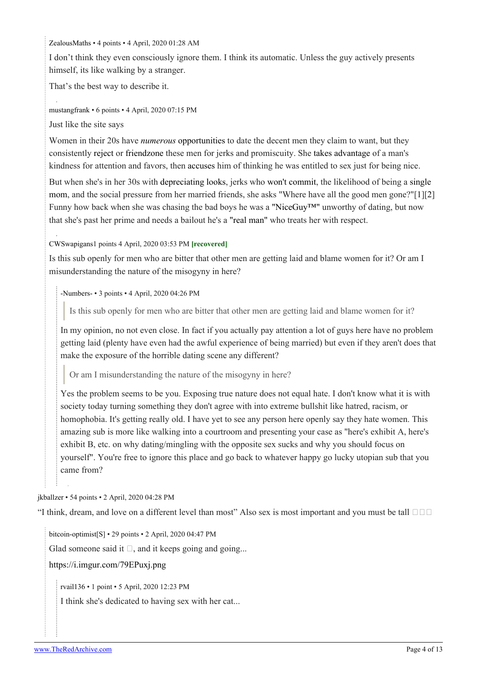[ZealousMaths](https://old.reddit.com/user/ZealousMaths) • 4 points • 4 April, 2020 01:28 AM

I don't think they even consciously ignore them. I think its automatic. Unless the guy actively presents himself, its like walking by a stranger.

That's the best way to describe it.

[mustangfrank](https://old.reddit.com/user/mustangfrank) • 6 points • 4 April, 2020 07:15 PM

Just like the site says

Women in their 20s have *[numerous](https://i.imgur.com/X7t8NGm.png)* [opportunities](https://i.imgur.com/X7t8NGm.png) to date the decent men they claim to want, but they consistently [reject](http://archive.is/BCoOa) or [friendzone](https://imgur.com/Hg95Ll9) these men for jerks and promiscuity. She [takes advantage](http://archive.is/RQKI1) of a man's kindness for attention and favors, then [accuses](http://archive.is/2mIAi) him of thinking he was entitled to sex just for being nice.

But when she's in her 30s with [depreciating looks,](https://i.imgur.com/D0CvYxy.png) jerks who [won't commit,](http://archive.is/ABqSD) the likelihood of being a [single](https://singlemotherguide.com/single-mother-statistics/) [mom](https://singlemotherguide.com/single-mother-statistics/), and the social pressure from her married friends, she asks "Where have all the good men gone?"[[1](http://archive.is/q1cq1)][[2](http://archive.is/l20zp)] Funny how back when she was chasing the bad boys he was a "NiceGuy<sup>TM"</sup> unworthy of dating, but now that she's past her prime and needs a bailout he's a ["real man"](http://i.imgur.com/7qQhCMI.png) who treats her with respect.

[CWSwapigans](https://old.reddit.com/user/CWSwapigans)1 points 4 April, 2020 03:53 PM **[recovered]**

Is this sub openly for men who are bitter that other men are getting laid and blame women for it? Or am I misunderstanding the nature of the misogyny in here?

[-Numbers-](https://old.reddit.com/user/-Numbers-) • 3 points • 4 April, 2020 04:26 PM

Is this sub openly for men who are bitter that other men are getting laid and blame women for it?

In my opinion, no not even close. In fact if you actually pay attention a lot of guys here have no problem getting laid (plenty have even had the awful experience of being married) but even if they aren't does that make the exposure of the horrible dating scene any different?

Or am I misunderstanding the nature of the misogyny in here?

Yes the problem seems to be you. Exposing true nature does not equal hate. I don't know what it is with society today turning something they don't agree with into extreme bullshit like hatred, racism, or homophobia. It's getting really old. I have yet to see any person here openly say they hate women. This amazing sub is more like walking into a courtroom and presenting your case as "here's exhibit A, here's exhibit B, etc. on why dating/mingling with the opposite sex sucks and why you should focus on yourself". You're free to ignore this place and go back to whatever happy go lucky utopian sub that you came from?

[jkballzer](https://old.reddit.com/user/jkballzer) • 54 points • 2 April, 2020 04:28 PM

"I think, dream, and love on a different level than most" Also sex is most important and you must be tall  $\Box$  $\Box$ 

[bitcoin-optimist](https://old.reddit.com/user/bitcoin-optimist)[\[S\]](https://theredarchive.com/r/WhereAreAllTheGoodMen/comments/fto0q7/almost_feel_bad_doing_this_but_at_39_shes_still/) • 29 points • 2 April, 2020 04:47 PM

Glad someone said it  $\Box$ , and it keeps going and going...

## <https://i.imgur.com/79EPuxj.png>

[rvail136](https://old.reddit.com/user/rvail136) • 1 point • 5 April, 2020 12:23 PM

I think she's dedicated to having sex with her cat...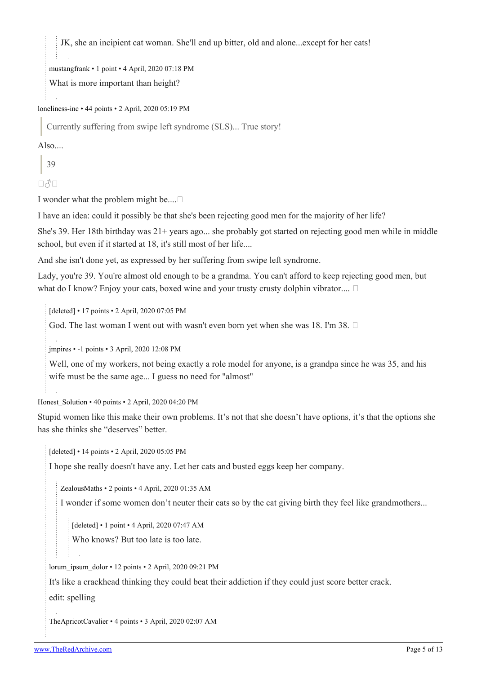JK, she an incipient cat woman. She'll end up bitter, old and alone...except for her cats!

[mustangfrank](https://old.reddit.com/user/mustangfrank) • 1 point • 4 April, 2020 07:18 PM

What is more important than height?

[loneliness-inc](https://old.reddit.com/user/loneliness-inc) • 44 points • 2 April, 2020 05:19 PM

Currently suffering from swipe left syndrome (SLS)... True story!

Also....

39

 $\Box$  $\triangle$  $\Box$ 

I wonder what the problem might be....

I have an idea: could it possibly be that she's been rejecting good men for the majority of her life?

She's 39. Her 18th birthday was 21+ years ago... she probably got started on rejecting good men while in middle school, but even if it started at 18, it's still most of her life....

And she isn't done yet, as expressed by her suffering from swipe left syndrome.

Lady, you're 39. You're almost old enough to be a grandma. You can't afford to keep rejecting good men, but what do I know? Enjoy your cats, boxed wine and your trusty crusty dolphin vibrator....  $\Box$ 

[deleted] • 17 points • 2 April, 2020 07:05 PM

God. The last woman I went out with wasn't even born yet when she was 18. I'm 38.  $\Box$ 

[jmpires](https://old.reddit.com/user/jmpires) • -1 points • 3 April, 2020 12:08 PM

Well, one of my workers, not being exactly a role model for anyone, is a grandpa since he was 35, and his wife must be the same age... I guess no need for "almost"

Honest Solution • 40 points • 2 April, 2020 04:20 PM

Stupid women like this make their own problems. It's not that she doesn't have options, it's that the options she has she thinks she "deserves" better.

[deleted] • 14 points • 2 April, 2020 05:05 PM

I hope she really doesn't have any. Let her cats and busted eggs keep her company.

[ZealousMaths](https://old.reddit.com/user/ZealousMaths) • 2 points • 4 April, 2020 01:35 AM

I wonder if some women don't neuter their cats so by the cat giving birth they feel like grandmothers...

[deleted] • 1 point • 4 April, 2020 07:47 AM

Who knows? But too late is too late.

[lorum\\_ipsum\\_dolor](https://old.reddit.com/user/lorum_ipsum_dolor) • 12 points • 2 April, 2020 09:21 PM

It's like a crackhead thinking they could beat their addiction if they could just score better crack.

edit: spelling

[TheApricotCavalier](https://old.reddit.com/user/TheApricotCavalier) • 4 points • 3 April, 2020 02:07 AM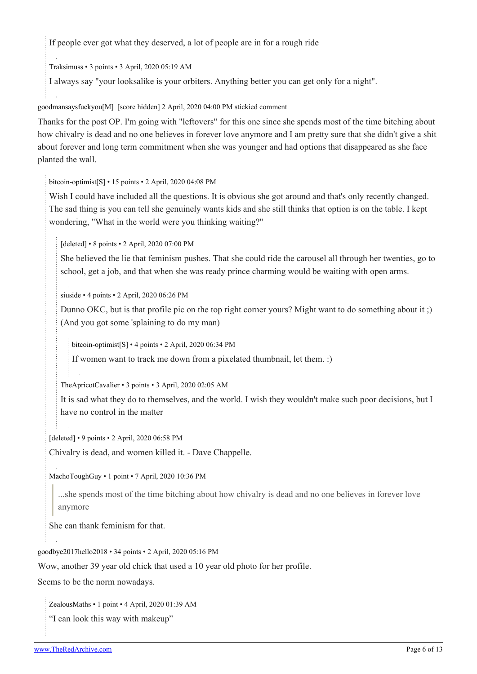If people ever got what they deserved, a lot of people are in for a rough ride

[Traksimuss](https://old.reddit.com/user/Traksimuss) • 3 points • 3 April, 2020 05:19 AM

I always say "your looksalike is your orbiters. Anything better you can get only for a night".

[goodmansaysfuckyou\[](https://old.reddit.com/user/goodmansaysfuckyou)[M\]](https://theredarchive.com/r/WhereAreAllTheGoodMen/about/moderators) [score hidden] 2 April, 2020 04:00 PM stickied comment

Thanks for the post OP. I'm going with "leftovers" for this one since she spends most of the time bitching about how chivalry is dead and no one believes in forever love anymore and I am pretty sure that she didn't give a shit about forever and long term commitment when she was younger and had options that disappeared as she face planted the wall.

[bitcoin-optimist](https://old.reddit.com/user/bitcoin-optimist)[\[S\]](https://theredarchive.com/r/WhereAreAllTheGoodMen/comments/fto0q7/almost_feel_bad_doing_this_but_at_39_shes_still/) • 15 points • 2 April, 2020 04:08 PM

Wish I could have included all the questions. It is obvious she got around and that's only recently changed. The sad thing is you can tell she genuinely wants kids and she still thinks that option is on the table. I kept wondering, "What in the world were you thinking waiting?"

[deleted] • 8 points • 2 April, 2020 07:00 PM

She believed the lie that feminism pushes. That she could ride the carousel all through her twenties, go to school, get a job, and that when she was ready prince charming would be waiting with open arms.

[siuside](https://old.reddit.com/user/siuside) • 4 points • 2 April, 2020 06:26 PM

Dunno OKC, but is that profile pic on the top right corner yours? Might want to do something about it ;) (And you got some 'splaining to do my man)

[bitcoin-optimist\[](https://old.reddit.com/user/bitcoin-optimist)[S](https://theredarchive.com/r/WhereAreAllTheGoodMen/comments/fto0q7/almost_feel_bad_doing_this_but_at_39_shes_still/)] • 4 points • 2 April, 2020 06:34 PM

If women want to track me down from a pixelated thumbnail, let them. :)

[TheApricotCavalier](https://old.reddit.com/user/TheApricotCavalier) • 3 points • 3 April, 2020 02:05 AM

It is sad what they do to themselves, and the world. I wish they wouldn't make such poor decisions, but I have no control in the matter

[deleted] • 9 points • 2 April, 2020 06:58 PM

Chivalry is dead, and women killed it. - Dave Chappelle.

[MachoToughGuy](https://old.reddit.com/user/MachoToughGuy) • 1 point • 7 April, 2020 10:36 PM

...she spends most of the time bitching about how chivalry is dead and no one believes in forever love anymore

She can thank feminism for that.

[goodbye2017hello2018](https://old.reddit.com/user/goodbye2017hello2018) • 34 points • 2 April, 2020 05:16 PM

Wow, another 39 year old chick that used a 10 year old photo for her profile.

Seems to be the norm nowadays.

[ZealousMaths](https://old.reddit.com/user/ZealousMaths) • 1 point • 4 April, 2020 01:39 AM

"I can look this way with makeup"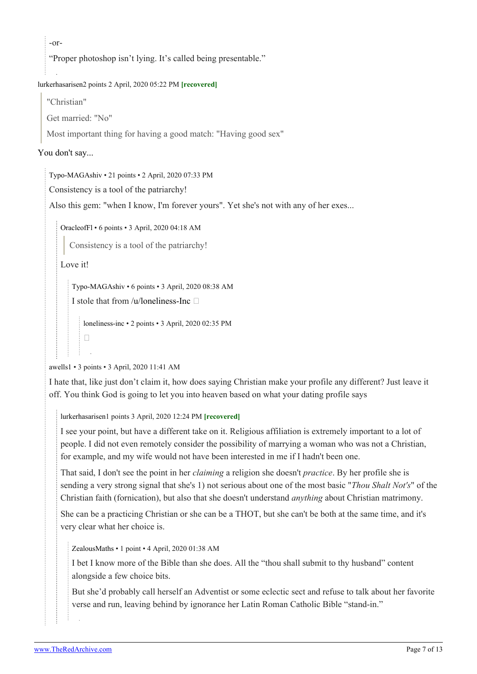$-0r-$ 

"Proper photoshop isn't lying. It's called being presentable."

### [lurkerhasarisen](https://old.reddit.com/user/lurkerhasarisen)2 points 2 April, 2020 05:22 PM **[recovered]**

"Christian"

Get married: "No"

Most important thing for having a good match: "Having good sex"

### [You don't say...](https://external-content.duckduckgo.com/iu/?u=http%3A%2F%2F4.bp.blogspot.com%2F-K3VlA58T2I8%2FUoDmb09hl6I%2FAAAAAAAABxA%2FPctgap8z2zI%2Fs1600%2FNot%2Blike%2Bthe%2Bother.png)

[Typo-MAGAshiv](https://old.reddit.com/user/Typo-MAGAshiv) • 21 points • 2 April, 2020 07:33 PM

Consistency is a tool of the patriarchy!

Also this gem: "when I know, I'm forever yours". Yet she's not with any of her exes...

[OracleofFl](https://old.reddit.com/user/OracleofFl) • 6 points • 3 April, 2020 04:18 AM

Consistency is a tool of the patriarchy!

Love it!

 $\Box$ 

[Typo-MAGAshiv](https://old.reddit.com/user/Typo-MAGAshiv) • 6 points • 3 April, 2020 08:38 AM

I stole that from [/u/loneliness-Inc](https://theredarchive.com/u/loneliness-Inc)  $\square$ 

[loneliness-inc](https://old.reddit.com/user/loneliness-inc) • 2 points • 3 April, 2020 02:35 PM

[awells1](https://old.reddit.com/user/awells1) • 3 points • 3 April, 2020 11:41 AM

I hate that, like just don't claim it, how does saying Christian make your profile any different? Just leave it off. You think God is going to let you into heaven based on what your dating profile says

[lurkerhasarisen1](https://old.reddit.com/user/lurkerhasarisen) points 3 April, 2020 12:24 PM **[recovered]**

I see your point, but have a different take on it. Religious affiliation is extremely important to a lot of people. I did not even remotely consider the possibility of marrying a woman who was not a Christian, for example, and my wife would not have been interested in me if I hadn't been one.

That said, I don't see the point in her *claiming* a religion she doesn't *practice*. By her profile she is sending a very strong signal that she's 1) not serious about one of the most basic "*Thou Shalt Not's*" of the Christian faith (fornication), but also that she doesn't understand *anything* about Christian matrimony.

She can be a practicing Christian or she can be a THOT, but she can't be both at the same time, and it's very clear what her choice is.

[ZealousMaths](https://old.reddit.com/user/ZealousMaths) • 1 point • 4 April, 2020 01:38 AM

I bet I know more of the Bible than she does. All the "thou shall submit to thy husband" content alongside a few choice bits.

But she'd probably call herself an Adventist or some eclectic sect and refuse to talk about her favorite verse and run, leaving behind by ignorance her Latin Roman Catholic Bible "stand-in."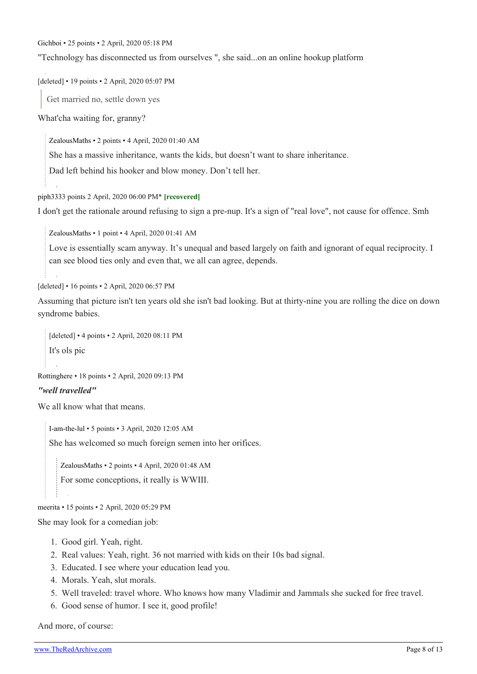[Gichboi](https://old.reddit.com/user/Gichboi) • 25 points • 2 April, 2020 05:18 PM

"Technology has disconnected us from ourselves ", she said...on an online hookup platform

[deleted] • 19 points • 2 April, 2020 05:07 PM

Get married no, settle down yes

What'cha waiting for, granny?

[ZealousMaths](https://old.reddit.com/user/ZealousMaths) • 2 points • 4 April, 2020 01:40 AM

She has a massive inheritance, wants the kids, but doesn't want to share inheritance.

Dad left behind his hooker and blow money. Don't tell her.

[piph333](https://old.reddit.com/user/piph333)3 points 2 April, 2020 06:00 PM\* **[recovered]**

I don't get the rationale around refusing to sign a pre-nup. It's a sign of "real love", not cause for offence. Smh

[ZealousMaths](https://old.reddit.com/user/ZealousMaths) • 1 point • 4 April, 2020 01:41 AM

Love is essentially scam anyway. It's unequal and based largely on faith and ignorant of equal reciprocity. I can see blood ties only and even that, we all can agree, depends.

[deleted] • 16 points • 2 April, 2020 06:57 PM

Assuming that picture isn't ten years old she isn't bad looking. But at thirty-nine you are rolling the dice on down syndrome babies.

[deleted] • 4 points • 2 April, 2020 08:11 PM It's ols pic

[Rottinghere](https://old.reddit.com/user/Rottinghere) • 18 points • 2 April, 2020 09:13 PM

#### *"well travelled"*

We all know what that means.

[I-am-the-lul](https://old.reddit.com/user/I-am-the-lul) • 5 points • 3 April, 2020 12:05 AM She has welcomed so much foreign semen into her orifices.

[ZealousMaths](https://old.reddit.com/user/ZealousMaths) • 2 points • 4 April, 2020 01:48 AM

For some conceptions, it really is WWIII.

[meerita](https://old.reddit.com/user/meerita) • 15 points • 2 April, 2020 05:29 PM

She may look for a comedian job:

- 1. Good girl. Yeah, right.
- 2. Real values: Yeah, right. 36 not married with kids on their 10s bad signal.
- 3. Educated. I see where your education lead you.
- 4. Morals. Yeah, slut morals.
- 5. Well traveled: travel whore. Who knows how many Vladimir and Jammals she sucked for free travel.
- 6. Good sense of humor. I see it, good profile!

And more, of course: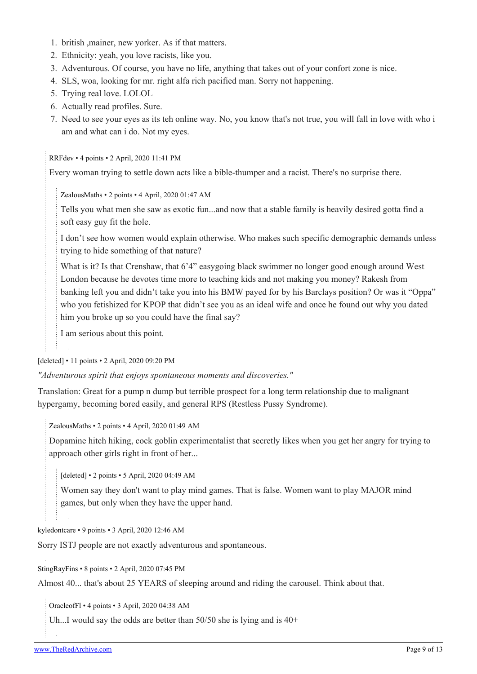- 1. british ,mainer, new yorker. As if that matters.
- 2. Ethnicity: yeah, you love racists, like you.
- 3. Adventurous. Of course, you have no life, anything that takes out of your confort zone is nice.
- 4. SLS, woa, looking for mr. right alfa rich pacified man. Sorry not happening.
- 5. Trying real love. LOLOL
- 6. Actually read profiles. Sure.
- 7. Need to see your eyes as its teh online way. No, you know that's not true, you will fall in love with who i am and what can i do. Not my eyes.

[RRFdev](https://old.reddit.com/user/RRFdev) • 4 points • 2 April, 2020 11:41 PM

Every woman trying to settle down acts like a bible-thumper and a racist. There's no surprise there.

[ZealousMaths](https://old.reddit.com/user/ZealousMaths) • 2 points • 4 April, 2020 01:47 AM

Tells you what men she saw as exotic fun...and now that a stable family is heavily desired gotta find a soft easy guy fit the hole.

I don't see how women would explain otherwise. Who makes such specific demographic demands unless trying to hide something of that nature?

What is it? Is that Crenshaw, that 6'4" easygoing black swimmer no longer good enough around West London because he devotes time more to teaching kids and not making you money? Rakesh from banking left you and didn't take you into his BMW payed for by his Barclays position? Or was it "Oppa" who you fetishized for KPOP that didn't see you as an ideal wife and once he found out why you dated him you broke up so you could have the final say?

I am serious about this point.

[deleted] • 11 points • 2 April, 2020 09:20 PM

*"Adventurous spirit that enjoys spontaneous moments and discoveries."*

Translation: Great for a pump n dump but terrible prospect for a long term relationship due to malignant hypergamy, becoming bored easily, and general RPS (Restless Pussy Syndrome).

[ZealousMaths](https://old.reddit.com/user/ZealousMaths) • 2 points • 4 April, 2020 01:49 AM

Dopamine hitch hiking, cock goblin experimentalist that secretly likes when you get her angry for trying to approach other girls right in front of her...

[deleted] • 2 points • 5 April, 2020 04:49 AM

Women say they don't want to play mind games. That is false. Women want to play MAJOR mind games, but only when they have the upper hand.

[kyledontcare](https://old.reddit.com/user/kyledontcare) • 9 points • 3 April, 2020 12:46 AM

Sorry ISTJ people are not exactly adventurous and spontaneous.

[StingRayFins](https://old.reddit.com/user/StingRayFins) • 8 points • 2 April, 2020 07:45 PM

Almost 40... that's about 25 YEARS of sleeping around and riding the carousel. Think about that.

[OracleofFl](https://old.reddit.com/user/OracleofFl) • 4 points • 3 April, 2020 04:38 AM

Uh...I would say the odds are better than  $50/50$  she is lying and is  $40+$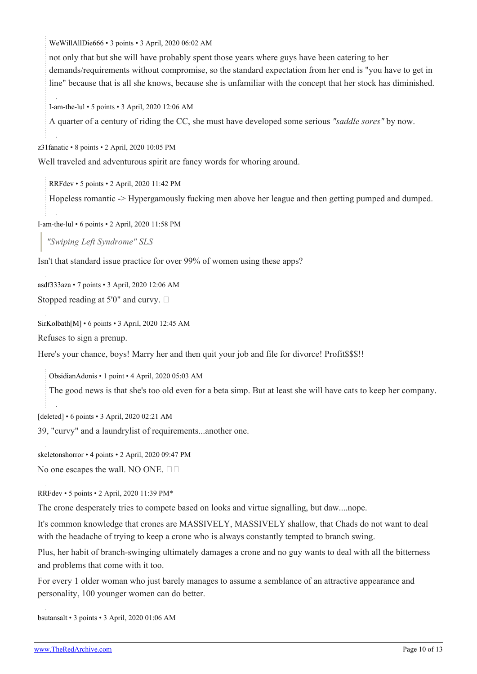[WeWillAllDie666](https://old.reddit.com/user/WeWillAllDie666) • 3 points • 3 April, 2020 06:02 AM

not only that but she will have probably spent those years where guys have been catering to her demands/requirements without compromise, so the standard expectation from her end is "you have to get in line" because that is all she knows, because she is unfamiliar with the concept that her stock has diminished.

[I-am-the-lul](https://old.reddit.com/user/I-am-the-lul) • 5 points • 3 April, 2020 12:06 AM

A quarter of a century of riding the CC, she must have developed some serious *"saddle sores"* by now.

[z31fanatic](https://old.reddit.com/user/z31fanatic) • 8 points • 2 April, 2020 10:05 PM

Well traveled and adventurous spirit are fancy words for whoring around.

[RRFdev](https://old.reddit.com/user/RRFdev) • 5 points • 2 April, 2020 11:42 PM

Hopeless romantic -> Hypergamously fucking men above her league and then getting pumped and dumped.

[I-am-the-lul](https://old.reddit.com/user/I-am-the-lul) • 6 points • 2 April, 2020 11:58 PM

*"Swiping Left Syndrome" SLS*

Isn't that standard issue practice for over 99% of women using these apps?

[asdf333aza](https://old.reddit.com/user/asdf333aza) • 7 points • 3 April, 2020 12:06 AM

Stopped reading at 5'0" and curvy.  $\Box$ 

[SirKolbath\[](https://old.reddit.com/user/SirKolbath)[M\]](https://theredarchive.com/r/WhereAreAllTheGoodMen/about/moderators) • 6 points • 3 April, 2020 12:45 AM

Refuses to sign a prenup.

Here's your chance, boys! Marry her and then quit your job and file for divorce! Profit\$\$\$!!

[ObsidianAdonis](https://old.reddit.com/user/ObsidianAdonis) • 1 point • 4 April, 2020 05:03 AM

The good news is that she's too old even for a beta simp. But at least she will have cats to keep her company.

[deleted] • 6 points • 3 April, 2020 02:21 AM

39, "curvy" and a laundrylist of requirements...another one.

[skeletonshorror](https://old.reddit.com/user/skeletonshorror) • 4 points • 2 April, 2020 09:47 PM

No one escapes the wall. NO ONE.  $\square$ 

[RRFdev](https://old.reddit.com/user/RRFdev) • 5 points • 2 April, 2020 11:39 PM\*

The crone desperately tries to compete based on looks and virtue signalling, but daw....nope.

It's common knowledge that crones are MASSIVELY, MASSIVELY shallow, that Chads do not want to deal with the headache of trying to keep a crone who is always constantly tempted to branch swing.

Plus, her habit of branch-swinging ultimately damages a crone and no guy wants to deal with all the bitterness and problems that come with it too.

For every 1 older woman who just barely manages to assume a semblance of an attractive appearance and personality, 100 younger women can do better.

[bsutansalt](https://old.reddit.com/user/bsutansalt) • 3 points • 3 April, 2020 01:06 AM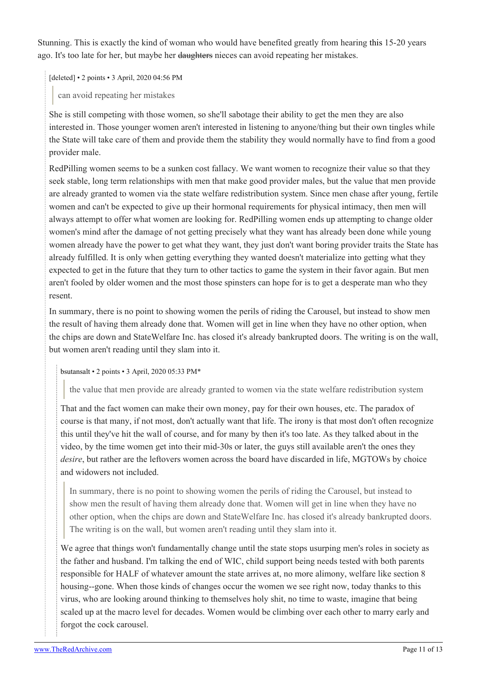Stunning. This is exactly the kind of woman who would have benefited greatly from hearing [this](https://youtu.be/Qu0F_jW7quE) 15-20 years ago. It's too late for her, but maybe her daughters nieces can avoid repeating her mistakes.

[deleted] • 2 points • 3 April, 2020 04:56 PM

can avoid repeating her mistakes

She is still competing with those women, so she'll sabotage their ability to get the men they are also interested in. Those younger women aren't interested in listening to anyone/thing but their own tingles while the State will take care of them and provide them the stability they would normally have to find from a good provider male.

RedPilling women seems to be a sunken cost fallacy. We want women to recognize their value so that they seek stable, long term relationships with men that make good provider males, but the value that men provide are already granted to women via the state welfare redistribution system. Since men chase after young, fertile women and can't be expected to give up their hormonal requirements for physical intimacy, then men will always attempt to offer what women are looking for. RedPilling women ends up attempting to change older women's mind after the damage of not getting precisely what they want has already been done while young women already have the power to get what they want, they just don't want boring provider traits the State has already fulfilled. It is only when getting everything they wanted doesn't materialize into getting what they expected to get in the future that they turn to other tactics to game the system in their favor again. But men aren't fooled by older women and the most those spinsters can hope for is to get a desperate man who they resent.

In summary, there is no point to showing women the perils of riding the Carousel, but instead to show men the result of having them already done that. Women will get in line when they have no other option, when the chips are down and StateWelfare Inc. has closed it's already bankrupted doors. The writing is on the wall, but women aren't reading until they slam into it.

### [bsutansalt](https://old.reddit.com/user/bsutansalt) • 2 points • 3 April, 2020 05:33 PM\*

the value that men provide are already granted to women via the state welfare redistribution system

That and the fact women can make their own money, pay for their own houses, etc. The paradox of course is that many, if not most, don't actually want that life. The irony is that most don't often recognize this until they've hit the wall of course, and for many by then it's too late. As they talked about in the video, by the time women get into their mid-30s or later, the guys still available aren't the ones they *desire*, but rather are the leftovers women across the board have discarded in life, MGTOWs by choice and widowers not included.

In summary, there is no point to showing women the perils of riding the Carousel, but instead to show men the result of having them already done that. Women will get in line when they have no other option, when the chips are down and StateWelfare Inc. has closed it's already bankrupted doors. The writing is on the wall, but women aren't reading until they slam into it.

We agree that things won't fundamentally change until the state stops usurping men's roles in society as the father and husband. I'm talking the end of WIC, child support being needs tested with both parents responsible for HALF of whatever amount the state arrives at, no more alimony, welfare like section 8 housing--gone. When those kinds of changes occur the women we see right now, today thanks to this virus, who are looking around thinking to themselves holy shit, no time to waste, imagine that being scaled up at the macro level for decades. Women would be climbing over each other to marry early and forgot the cock carousel.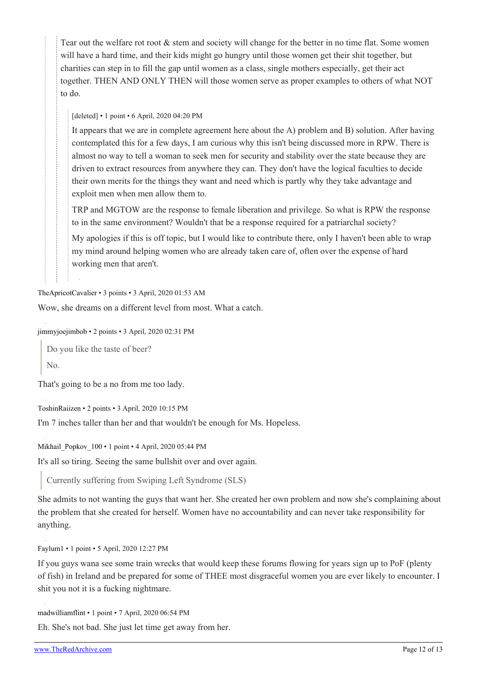Tear out the welfare rot root & stem and society will change for the better in no time flat. Some women will have a hard time, and their kids might go hungry until those women get their shit together, but charities can step in to fill the gap until women as a class, single mothers especially, get their act together. THEN AND ONLY THEN will those women serve as proper examples to others of what NOT to do.

[deleted] • 1 point • 6 April, 2020 04:20 PM

It appears that we are in complete agreement here about the A) problem and B) solution. After having contemplated this for a few days, I am curious why this isn't being discussed more in RPW. There is almost no way to tell a woman to seek men for security and stability over the state because they are driven to extract resources from anywhere they can. They don't have the logical faculties to decide their own merits for the things they want and need which is partly why they take advantage and exploit men when men allow them to.

TRP and MGTOW are the response to female liberation and privilege. So what is RPW the response to in the same environment? Wouldn't that be a response required for a patriarchal society?

My apologies if this is off topic, but I would like to contribute there, only I haven't been able to wrap my mind around helping women who are already taken care of, often over the expense of hard working men that aren't.

[TheApricotCavalier](https://old.reddit.com/user/TheApricotCavalier) • 3 points • 3 April, 2020 01:53 AM

Wow, she dreams on a different level from most. What a catch.

[jimmyjoejimbob](https://old.reddit.com/user/jimmyjoejimbob) • 2 points • 3 April, 2020 02:31 PM

Do you like the taste of beer?  $N<sub>0</sub>$ 

That's going to be a no from me too lady.

[ToshinRaiizen](https://old.reddit.com/user/ToshinRaiizen) • 2 points • 3 April, 2020 10:15 PM

I'm 7 inches taller than her and that wouldn't be enough for Ms. Hopeless.

[Mikhail\\_Popkov\\_100](https://old.reddit.com/user/Mikhail_Popkov_100) • 1 point • 4 April, 2020 05:44 PM

It's all so tiring. Seeing the same bullshit over and over again.

Currently suffering from Swiping Left Syndrome (SLS)

She admits to not wanting the guys that want her. She created her own problem and now she's complaining about the problem that she created for herself. Women have no accountability and can never take responsibility for anything.

[Faylum1](https://old.reddit.com/user/Faylum1) • 1 point • 5 April, 2020 12:27 PM

If you guys wana see some train wrecks that would keep these forums flowing for years sign up to PoF (plenty of fish) in Ireland and be prepared for some of THEE most disgraceful women you are ever likely to encounter. I shit you not it is a fucking nightmare.

[madwilliamflint](https://old.reddit.com/user/madwilliamflint) • 1 point • 7 April, 2020 06:54 PM

Eh. She's not bad. She just let time get away from her.